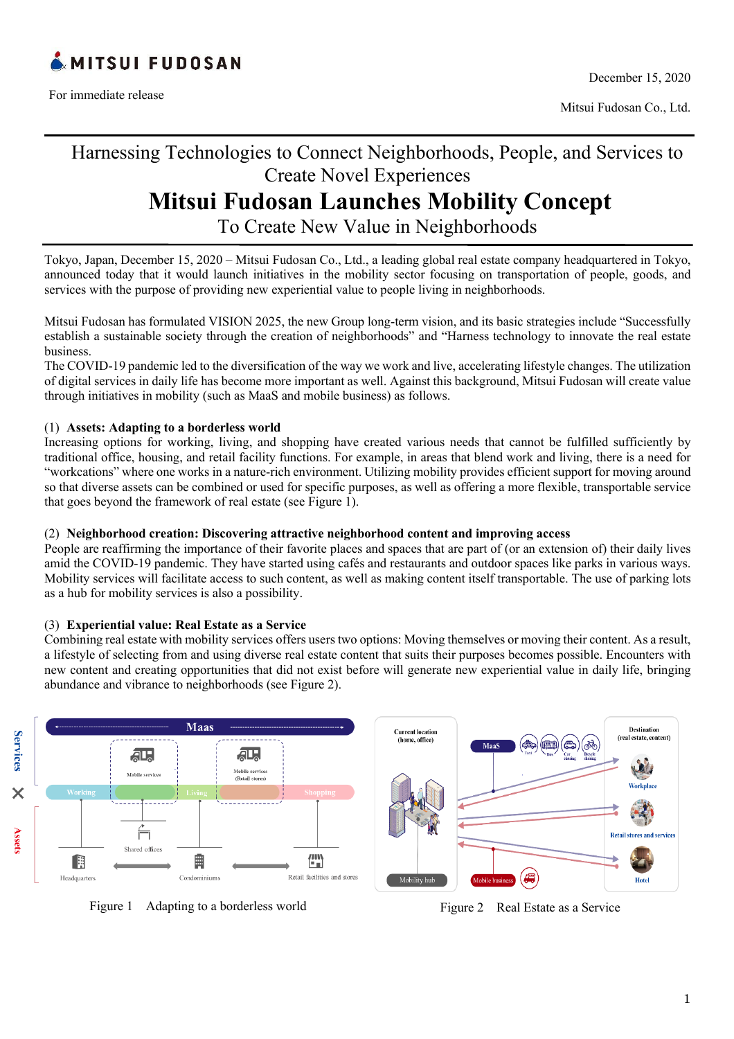

For immediate release

Mitsui Fudosan Co., Ltd.

# Harnessing Technologies to Connect Neighborhoods, People, and Services to Create Novel Experiences

# **Mitsui Fudosan Launches Mobility Concept**

To Create New Value in Neighborhoods

Tokyo, Japan, December 15, 2020 – Mitsui Fudosan Co., Ltd., a leading global real estate company headquartered in Tokyo, announced today that it would launch initiatives in the mobility sector focusing on transportation of people, goods, and services with the purpose of providing new experiential value to people living in neighborhoods.

Mitsui Fudosan has formulated VISION 2025, the new Group long-term vision, and its basic strategies include "Successfully establish a sustainable society through the creation of neighborhoods" and "Harness technology to innovate the real estate business.

The COVID-19 pandemic led to the diversification of the way we work and live, accelerating lifestyle changes. The utilization of digital services in daily life has become more important as well. Against this background, Mitsui Fudosan will create value through initiatives in mobility (such as MaaS and mobile business) as follows.

#### (1) **Assets: Adapting to a borderless world**

Increasing options for working, living, and shopping have created various needs that cannot be fulfilled sufficiently by traditional office, housing, and retail facility functions. For example, in areas that blend work and living, there is a need for "workcations" where one works in a nature-rich environment. Utilizing mobility provides efficient support for moving around so that diverse assets can be combined or used for specific purposes, as well as offering a more flexible, transportable service that goes beyond the framework of real estate (see Figure 1).

#### (2) **Neighborhood creation: Discovering attractive neighborhood content and improving access**

People are reaffirming the importance of their favorite places and spaces that are part of (or an extension of) their daily lives amid the COVID-19 pandemic. They have started using cafés and restaurants and outdoor spaces like parks in various ways. Mobility services will facilitate access to such content, as well as making content itself transportable. The use of parking lots as a hub for mobility services is also a possibility.

# (3) **Experiential value: Real Estate as a Service**

Combining real estate with mobility services offers users two options: Moving themselves or moving their content. As a result, a lifestyle of selecting from and using diverse real estate content that suits their purposes becomes possible. Encounters with new content and creating opportunities that did not exist before will generate new experiential value in daily life, bringing abundance and vibrance to neighborhoods (see Figure 2).



Figure 1 Adapting to a borderless world Figure 2 Real Estate as a Service